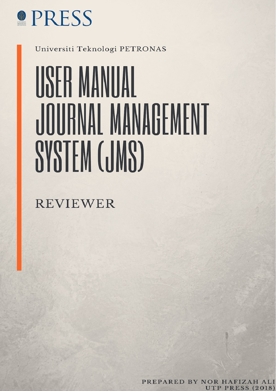

Universiti Teknologi PETRONAS

# USER MANUAL JOURNAL MANAGEMENT SYSTEM (JMS)

**REVIEWER** 

PREPARED BY NOR HAFIZAH ALI **UTP PRESS (2018)**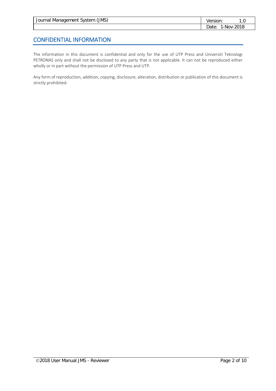| Journal Management System (JMS) | Version: | . U        |
|---------------------------------|----------|------------|
|                                 | Jate: .  | 1-Nov-2018 |

### CONFIDENTIAL INFORMATION

The information in this document is confidential and only for the use of UTP Press and Universiti Teknologi PETRONAS only and shall not be disclosed to any party that is not applicable. It can not be reproduced either wholly or in part without the permission of UTP Press and UTP.

Any form of reproduction, addition, copying, disclosure, alteration, distribution or publication of this document is strictly prohibited.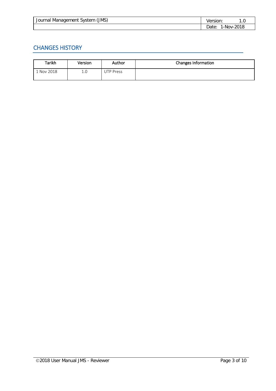| (MS)<br>l Management System<br>Journal ' | ersion.        |      |
|------------------------------------------|----------------|------|
|                                          | Date<br>∴-NOV- | 2018 |

## CHANGES HISTORY

| Tarikh   | Version | Author    | Changes Information |
|----------|---------|-----------|---------------------|
| Nov 2018 | 1.0     | JTP Press |                     |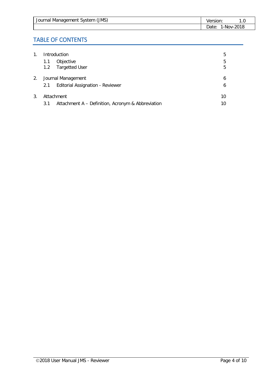| Journal Management System (JMS) | Version: |            |
|---------------------------------|----------|------------|
|                                 | Date:    | 1-Nov-2018 |

## TABLE OF CONTENTS

| 1. | Introduction                                             | 5  |
|----|----------------------------------------------------------|----|
|    | Objective<br>1.1                                         | 5  |
|    | <b>Targetted User</b><br>1.2                             | 5  |
| 2. | Journal Management                                       | 6  |
|    | <b>Editorial Assignation - Reviewer</b><br>2.1           | 6  |
| 3. | Attachment                                               | 10 |
|    | Attachment A - Definition, Acronym & Abbreviation<br>3.1 | 10 |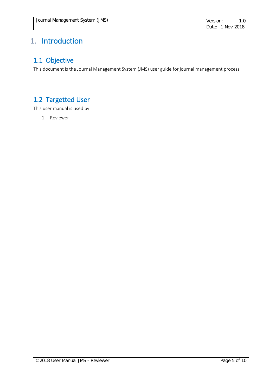| Journal Management System (JMS) | Version:            |  |
|---------------------------------|---------------------|--|
|                                 | 1-Nov-2018<br>Date: |  |

# <span id="page-4-0"></span>1. Introduction

## <span id="page-4-1"></span>1.1 Objective

This document is the Journal Management System (JMS) user guide for journal management process.

# <span id="page-4-2"></span>1.2 Targetted User

This user manual is used by

1. Reviewer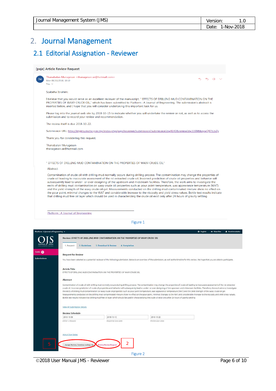| Journal Management System (JMS) | Version: |            |
|---------------------------------|----------|------------|
|                                 | ⊃ate:    | 1-Nov-2018 |

# <span id="page-5-0"></span>2. Journal Management

## <span id="page-5-1"></span>2.1 Editorial Assignation - Reviewer

#### [paje] Article Review Request

Thanabalan Murugesan <thanagesan.se@hotmail.com>  $\leftrightarrow$  $\leftarrow$   $\rightarrow$ Mon 08/10/2018, 10:10 You  $\approx$ Szabeha Ihrahim: I believe that you would serve as an excellent reviewer of the manuscript, " EFFECTS OF DRILLING MUD CONTAMINATION ON THE PROPERTIES OF WAXY CRUDE OIL," which has been submitted to Platform : A Journal of Engineering. The submission's abstract is inserted below, and I hope that you will consider undertaking this important task for us. Please log into the journal web site by 2018-10-15 to indicate whether you will undertake the review or not, as well as to access the submission and to record your review and recommendation. The review itself is due 2018-10-22. Submission URL: http://myjms.mohe.gov.my/index.php/paje/reviewer/submission?submissionId=4140&reviewId=3399&key=Q97tLbZy Thank you for considering this request. Thanabalan Murugesan thanagesan.se@hotmail.com " EFFECTS OF DRILLING MUD CONTAMINATION ON THE PROPERTIES OF WAXY CRUDE OIL"

#### Abstract

Contamination of crude oil with drilling mud normally occurs during drilling process. The contamination may change the properties of crude oil leading to inaccurate assessment of the rst extracted crude oil. Incorrect prediction of crude oil properties and behavior will subsequently lead to under- or over-designing of the upstream and midstream facilities. Therefore, the work aims to investigate the excess of drilling mud contamination on waxy crude oil properties such as pour point temperature, was appearance temperature (WAT) and the yield strength of the waxy crude oil gel. Measurements conducted on the drilling mu the pour point, minimal changes to the WAT and considerable increase to the viscosity and yield stress values. Bottle test results indicate that drilling mud free oil layer which should be used in characterizing the crude oil exist only after 24 hours of gravity settling

Figure 1

Platform : A Journal of Engineering

| 2. Guidelines<br>1. Request<br><b>Request for Review</b><br><b>Article Title</b><br><b>Abstract</b> | Review: EFFECTS OF DRILLING MUD CONTAMINATION ON THE PROPERTIES OF WAXY CRUDE OIL<br>3. Download & Review<br>4. Completion<br>EFFECTS OF DRILLING MUD CONTAMINATION ON THE PROPERTIES OF WAXY CRUDE OIL | Measurements conducted on the drilling mud contaminated mixture show no effect on the pour point, minimal changes to the WAT and considerable increase to the viscosity and yield stress values. | You have been selected as a potential reviewer of the following submission. Below is an overview of the submission, as well as the timeline for this review. We hope that you are able to participate.<br>Contamination of crude oil with drilling mud normally occurs during drilling process. The contamination may change the properties of crude oil leading to inaccurate assessment of the rst extracted<br>crude oil. Incorrect prediction of crude oil properties and behavior will subsequently lead to under- or over-designing of the upstream and midstream facilities. Therefore, the work aims to investigate<br>the eects of drilling mud contamination on waxy crude oil properties such as pour point temperature, wax appearance temperature (WAT) and the yield strength of the waxy crude oil gel. |          |
|-----------------------------------------------------------------------------------------------------|---------------------------------------------------------------------------------------------------------------------------------------------------------------------------------------------------------|--------------------------------------------------------------------------------------------------------------------------------------------------------------------------------------------------|------------------------------------------------------------------------------------------------------------------------------------------------------------------------------------------------------------------------------------------------------------------------------------------------------------------------------------------------------------------------------------------------------------------------------------------------------------------------------------------------------------------------------------------------------------------------------------------------------------------------------------------------------------------------------------------------------------------------------------------------------------------------------------------------------------------------|----------|
|                                                                                                     |                                                                                                                                                                                                         |                                                                                                                                                                                                  |                                                                                                                                                                                                                                                                                                                                                                                                                                                                                                                                                                                                                                                                                                                                                                                                                        |          |
|                                                                                                     |                                                                                                                                                                                                         |                                                                                                                                                                                                  |                                                                                                                                                                                                                                                                                                                                                                                                                                                                                                                                                                                                                                                                                                                                                                                                                        |          |
|                                                                                                     |                                                                                                                                                                                                         |                                                                                                                                                                                                  |                                                                                                                                                                                                                                                                                                                                                                                                                                                                                                                                                                                                                                                                                                                                                                                                                        |          |
|                                                                                                     |                                                                                                                                                                                                         |                                                                                                                                                                                                  |                                                                                                                                                                                                                                                                                                                                                                                                                                                                                                                                                                                                                                                                                                                                                                                                                        |          |
|                                                                                                     |                                                                                                                                                                                                         |                                                                                                                                                                                                  |                                                                                                                                                                                                                                                                                                                                                                                                                                                                                                                                                                                                                                                                                                                                                                                                                        |          |
|                                                                                                     |                                                                                                                                                                                                         |                                                                                                                                                                                                  |                                                                                                                                                                                                                                                                                                                                                                                                                                                                                                                                                                                                                                                                                                                                                                                                                        |          |
|                                                                                                     |                                                                                                                                                                                                         | Bottle test results indicate that drilling mud free oil layer which should be used in characterizing the crude oil exist only after 24 hours of gravity settling                                 |                                                                                                                                                                                                                                                                                                                                                                                                                                                                                                                                                                                                                                                                                                                                                                                                                        |          |
| <b>View All Submission Details</b>                                                                  |                                                                                                                                                                                                         |                                                                                                                                                                                                  |                                                                                                                                                                                                                                                                                                                                                                                                                                                                                                                                                                                                                                                                                                                                                                                                                        |          |
| <b>Review Schedule</b>                                                                              |                                                                                                                                                                                                         |                                                                                                                                                                                                  |                                                                                                                                                                                                                                                                                                                                                                                                                                                                                                                                                                                                                                                                                                                                                                                                                        |          |
|                                                                                                     | 2018-10-15                                                                                                                                                                                              | 2018-10-22                                                                                                                                                                                       |                                                                                                                                                                                                                                                                                                                                                                                                                                                                                                                                                                                                                                                                                                                                                                                                                        |          |
|                                                                                                     | Response Due Date                                                                                                                                                                                       | Review Due Date                                                                                                                                                                                  |                                                                                                                                                                                                                                                                                                                                                                                                                                                                                                                                                                                                                                                                                                                                                                                                                        |          |
|                                                                                                     |                                                                                                                                                                                                         |                                                                                                                                                                                                  |                                                                                                                                                                                                                                                                                                                                                                                                                                                                                                                                                                                                                                                                                                                                                                                                                        |          |
|                                                                                                     | $\overline{2}$<br><b>Decline Review Request</b>                                                                                                                                                         |                                                                                                                                                                                                  |                                                                                                                                                                                                                                                                                                                                                                                                                                                                                                                                                                                                                                                                                                                                                                                                                        |          |
|                                                                                                     | 2018-10-08<br>Editor's Request<br><b>About Due Dates</b>                                                                                                                                                | Accept Review, Continue to Step #2                                                                                                                                                               |                                                                                                                                                                                                                                                                                                                                                                                                                                                                                                                                                                                                                                                                                                                                                                                                                        | Figure 2 |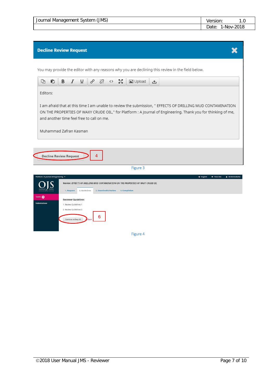| (MS)<br>Journal Management System (. | rsion: I | l .O      |
|--------------------------------------|----------|-----------|
|                                      | Jate:    | -Nov-2018 |

#### **Decline Review Request**

You may provide the editor with any reasons why you are declining this review in the field below.



Figure 4

×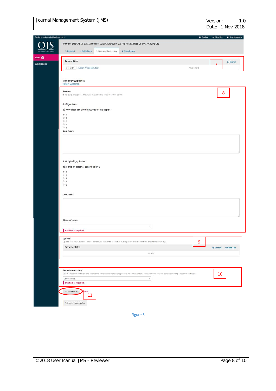| (MS)<br>Journal Management System, |                |  |
|------------------------------------|----------------|--|
|                                    | 2018:<br>-NOV- |  |

|                                                                                                                                                    | <b>O</b> English<br>· View Site<br><b>A</b> ibrahimzabeha |
|----------------------------------------------------------------------------------------------------------------------------------------------------|-----------------------------------------------------------|
| Review: EFFECTS OF DRILLING MUD CONTAMINATION ON THE PROPERTIES OF WAXY CRUDE OIL                                                                  |                                                           |
| 2. Guidelines<br>3. Download & Review<br>1. Request<br>4. Completion                                                                               |                                                           |
| <b>Review Files</b>                                                                                                                                | Q Search                                                  |
| 2 13654-1 Author, Article text.docx                                                                                                                | 7<br>Article Text                                         |
|                                                                                                                                                    |                                                           |
| <b>Reviewer Guidelines</b><br><b>Review Guidelines</b>                                                                                             |                                                           |
| Review                                                                                                                                             |                                                           |
| Enter (or paste) your review of this submission into the form below.                                                                               | $\bf 8$                                                   |
| 1. Objectives:                                                                                                                                     |                                                           |
| a) How clear are the objectives or the paper ?<br>$60 - 1$                                                                                         |                                                           |
| 02<br>0.3                                                                                                                                          |                                                           |
| 04<br>@5                                                                                                                                           |                                                           |
| Comment:                                                                                                                                           |                                                           |
|                                                                                                                                                    |                                                           |
|                                                                                                                                                    |                                                           |
|                                                                                                                                                    |                                                           |
| 2. Originality / Scope:                                                                                                                            |                                                           |
| a) Is this an original contribution ?<br>0.1                                                                                                       |                                                           |
| 02<br>03                                                                                                                                           |                                                           |
|                                                                                                                                                    |                                                           |
| 0.4<br>0.5                                                                                                                                         |                                                           |
| Comment:                                                                                                                                           |                                                           |
|                                                                                                                                                    |                                                           |
|                                                                                                                                                    |                                                           |
|                                                                                                                                                    |                                                           |
|                                                                                                                                                    |                                                           |
| <b>Please Choose</b><br>۲<br>This field is required.                                                                                               |                                                           |
|                                                                                                                                                    |                                                           |
| <b>Reviewer Files</b>                                                                                                                              | 9                                                         |
| Upload<br>Upload files you would like the editor and/or author to consult, including revised versions of the original review file(s).<br>No Files  | Q search<br><b>Upload File</b>                            |
|                                                                                                                                                    |                                                           |
|                                                                                                                                                    |                                                           |
| Recommendation                                                                                                                                     | 10                                                        |
| $\overline{\mathcal{K}}$<br>Choose One<br>This field is required.                                                                                  |                                                           |
| Select a recommendation and submit the review to complete the process. You must enter a review or upload a file before selecting a recommendation. |                                                           |
| Submit Review<br>Back<br>11                                                                                                                        |                                                           |

Figure 5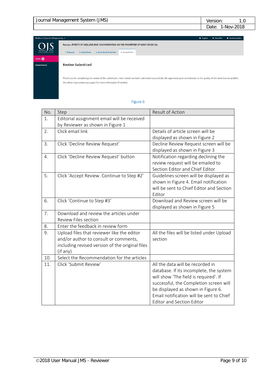| (MS)<br>Journal Management System | `rsion. | . .0      |
|-----------------------------------|---------|-----------|
|                                   |         | -Nov-2018 |

| Platform: A Journal of Engineering +<br><b>Q</b> English |                                                                                                                                                                                                                                                      |  |  | & ibrahimzabeha |
|----------------------------------------------------------|------------------------------------------------------------------------------------------------------------------------------------------------------------------------------------------------------------------------------------------------------|--|--|-----------------|
| <u>DJS</u>                                               | Review: EFFECTS OF DRILLING MUD CONTAMINATION ON THE PROPERTIES OF WAXY CRUDE OIL                                                                                                                                                                    |  |  |                 |
| OPEN JOURNAL SYSTEMS                                     | 4. Completion<br>2. Guidelines<br>3. Download & Review<br>1. Request                                                                                                                                                                                 |  |  |                 |
| Tasks <b>O</b>                                           |                                                                                                                                                                                                                                                      |  |  |                 |
| <b>Submissions</b>                                       | <b>Review Submitted</b>                                                                                                                                                                                                                              |  |  |                 |
|                                                          |                                                                                                                                                                                                                                                      |  |  |                 |
|                                                          | Thank you for completing the review of this submission. Your review has been submitted successfully. We appreciate your contribution to the quality of the work that we publish;<br>the editor may contact you again for more information if needed. |  |  |                 |

#### Figure 6

| No. | Step                                            | Result of Action                          |
|-----|-------------------------------------------------|-------------------------------------------|
| 1.  | Editorial assignment email will be received     |                                           |
|     | by Reviewer as shown in Figure 1                |                                           |
| 2.  | Click email link                                | Details of article screen will be         |
|     |                                                 | displayed as shown in Figure 2            |
| 3.  | Click 'Decline Review Request'                  | Decline Review Request screen will be     |
|     |                                                 | displayed as shown in Figure 3            |
| 4.  | Click 'Decline Review Request' button           | Notification regarding declining the      |
|     |                                                 | review request will be emailed to         |
|     |                                                 | Section Editor and Chief Editor           |
| 5.  | Click 'Accept Review. Continue to Step #2'      | Guidelines screen will be displayed as    |
|     |                                                 | shown in Figure 4. Email notification     |
|     |                                                 | will be sent to Chief Editor and Section  |
|     |                                                 | Editor                                    |
| 6.  | Click 'Continue to Step #3'                     | Download and Review screen will be        |
|     |                                                 | displayed as shown in Figure 5            |
| 7.  | Download and review the articles under          |                                           |
|     | <b>Review Files section</b>                     |                                           |
| 8.  | Enter the feedback in review form               |                                           |
| 9.  | Upload files that reviewer like the editor      | All the files will be listed under Upload |
|     | and/or author to consult or comments,           | section                                   |
|     | including revised version of the original files |                                           |
|     | (if any)                                        |                                           |
| 10. | Select the Recommendation for the articles      |                                           |
| 11. | Click 'Submit Review'                           | All the data will be recorded in          |
|     |                                                 | database. If its incomplete, the system   |
|     |                                                 | will show 'The field is required'. If     |
|     |                                                 | successful, the Completion screen will    |
|     |                                                 | be displayed as shown in Figure 6.        |
|     |                                                 | Email notification will be sent to Chief  |
|     |                                                 | <b>Editor and Section Editor</b>          |